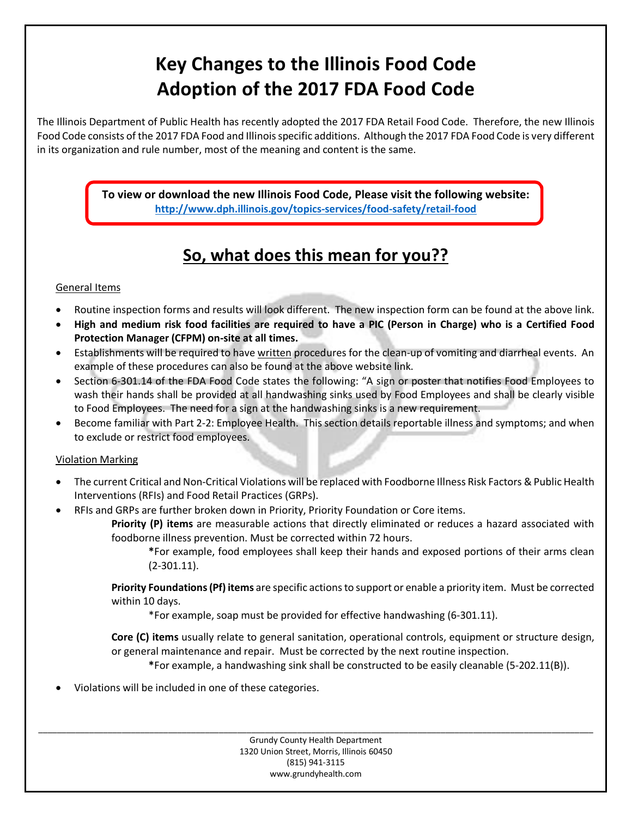# **Key Changes to the Illinois Food Code Adoption of the 2017 FDA Food Code**

The Illinois Department of Public Health has recently adopted the 2017 FDA Retail Food Code. Therefore, the new Illinois Food Code consists of the 2017 FDA Food and Illinois specific additions. Although the 2017 FDA Food Code is very different in its organization and rule number, most of the meaning and content is the same.

> **To view or download the new Illinois Food Code, Please visit the following website: http://www.dph.illinois.gov/topics-services/food-safety/retail-food**

## **So, what does this mean for you??**

#### General Items

- · Routine inspection forms and results will look different. The new inspection form can be found at the above link.
- · **High and medium risk food facilities are required to have a PIC (Person in Charge) who is a Certified Food Protection Manager (CFPM) on-site at all times.**
- · Establishments will be required to have written procedures for the clean-up of vomiting and diarrheal events. An example of these procedures can also be found at the above website link.
- · Section 6-301.14 of the FDA Food Code states the following: "A sign or poster that notifies Food Employees to wash their hands shall be provided at all handwashing sinks used by Food Employees and shall be clearly visible to Food Employees. The need for a sign at the handwashing sinks is a new requirement.
- Become familiar with Part 2-2: Employee Health. This section details reportable illness and symptoms; and when to exclude or restrict food employees.

#### Violation Marking

- · The current Critical and Non-Critical Violations will be replaced with Foodborne Illness Risk Factors & Public Health Interventions (RFIs) and Food Retail Practices (GRPs).
- RFIs and GRPs are further broken down in Priority, Priority Foundation or Core items.

**Priority (P) items** are measurable actions that directly eliminated or reduces a hazard associated with foodborne illness prevention. Must be corrected within 72 hours.

**\***For example, food employees shall keep their hands and exposed portions of their arms clean (2-301.11).

**Priority Foundations (Pf) items** are specific actions to support or enable a priority item. Must be corrected within 10 days.

\*For example, soap must be provided for effective handwashing (6-301.11).

**Core (C) items** usually relate to general sanitation, operational controls, equipment or structure design, or general maintenance and repair. Must be corrected by the next routine inspection.

**\***For example, a handwashing sink shall be constructed to be easily cleanable (5-202.11(B)).

· Violations will be included in one of these categories.

Grundy County Health Department 1320 Union Street, Morris, Illinois 60450 (815) 941-3115 www.grundyhealth.com

\_\_\_\_\_\_\_\_\_\_\_\_\_\_\_\_\_\_\_\_\_\_\_\_\_\_\_\_\_\_\_\_\_\_\_\_\_\_\_\_\_\_\_\_\_\_\_\_\_\_\_\_\_\_\_\_\_\_\_\_\_\_\_\_\_\_\_\_\_\_\_\_\_\_\_\_\_\_\_\_\_\_\_\_\_\_\_\_\_\_\_\_\_\_\_\_\_\_\_\_\_\_\_\_\_\_\_\_\_\_\_\_\_\_\_\_\_\_\_\_